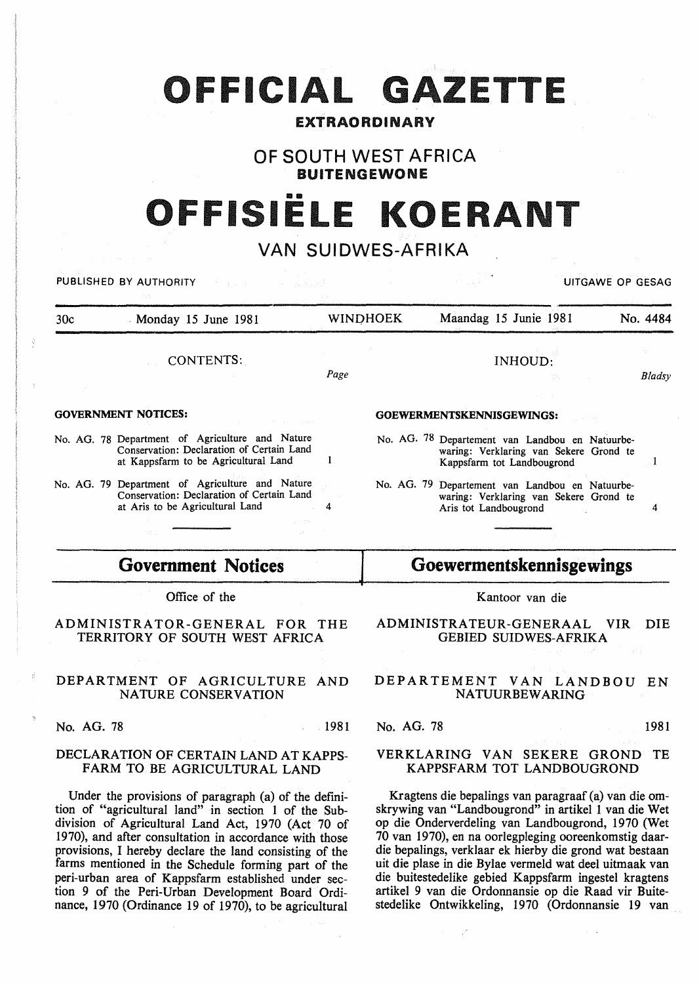# OFFICIAL GAZETTE

### EXTRAORDINARY

# OF SOUTH WEST AFRICA BUITENGEWONE

# FFISIËLE KOEI

# VAN SUIDWES-AFRIKA

PUBLISHED BY AUTHORITY **EXAGGED AT A SECULIAR AUTHORITY** CONTACT A CONTACT A CONTACT OF GESAG

| 30c | Monday 15 June 1981                                                                                                                  | <b>WINDHOEK</b> | Maandag 15 Junie 1981<br>网络海绵 人名英格兰人姓氏                                                                                  | No. 4484 |
|-----|--------------------------------------------------------------------------------------------------------------------------------------|-----------------|-------------------------------------------------------------------------------------------------------------------------|----------|
|     | CONTENTS:                                                                                                                            | Page            | INHOUD:<br><b>State Common</b>                                                                                          | Bladsy   |
|     | <b>GOVERNMENT NOTICES:</b>                                                                                                           |                 | GOEWERMENTSKENNISGEWINGS:                                                                                               |          |
|     | No. AG. 78 Department of Agriculture and Nature<br>Conservation: Declaration of Certain Land<br>at Kappsfarm to be Agricultural Land |                 | No. AG. 78 Departement van Landbou en Natuurbe-<br>waring: Verklaring van Sekere Grond te<br>Kappsfarm tot Landbougrond |          |

No. AG. 79 Department of Agriculture and Nature Conservation: Declaration of Certain Land at Aris to be Agricultural Land 4

# Government Notices

Office of the

### ADMINISTRATOR-GENERAL FOR THE TERRITORY OF SOUTH WEST AFRICA

#### DEPARTMENT OF AGRICULTURE AND NATURE CONSERVATION

No. AG. 78 1981

#### DECLARATION OF CERTAIN LAND AT KAPPS-FARM TO BE AGRICULTURAL LAND

Under the provisions of paragraph (a) of the definition of "agricultural land" in section 1 of the Subdivision of Agricultural Land Act, 1970 (Act 70 of 1970), and after consultation in accordance with those provisions, I hereby declare the land consisting of the farms mentioned in the Schedule forming part of the peri-urban area of Kappsfarm established under section 9 of the Peri-Urban Development Board Ordinance, 1970 (Ordinance 19 of 1970), to be agricultural Kantoor van die

Goewermentskennisgewings

No. AG. 79 Departement van Landbou en Natuurbe-

waring: Verklaring van Sekere Grond te

Aris tot Landbougrond 4

ADMINISTRATEUR-GENERAAL VIR DIE GEBIED SUIDWES-AFRIKA

#### DEPARTEMENT VAN LANDBOU EN NATUURBEWARING

#### No. AG. 78 1981

#### VERKLARING VAN SEKERE GROND TE KAPPSFARM TOT LANDBOUGROND

Kragtens die bepalings van paragraaf (a) van die omskrywing van "Landbougrond" in artikel 1 van die Wet op die Onderverdeling van Landbougrond, 1970 (Wet 70 van 1970), en na oorlegpleging ooreenkomstig daardie bepalings, verklaar ek hierby die grond wat bestaan uit die plase in die Bylae vermeld wat deel uitmaak van die buitestedelike gebied Kappsfarm ingestel kragtens artikel 9 van die Ordonnansie op die Raad vir Buitestedelike Ontwikkeling, 1970 (Ordonnansie 19 van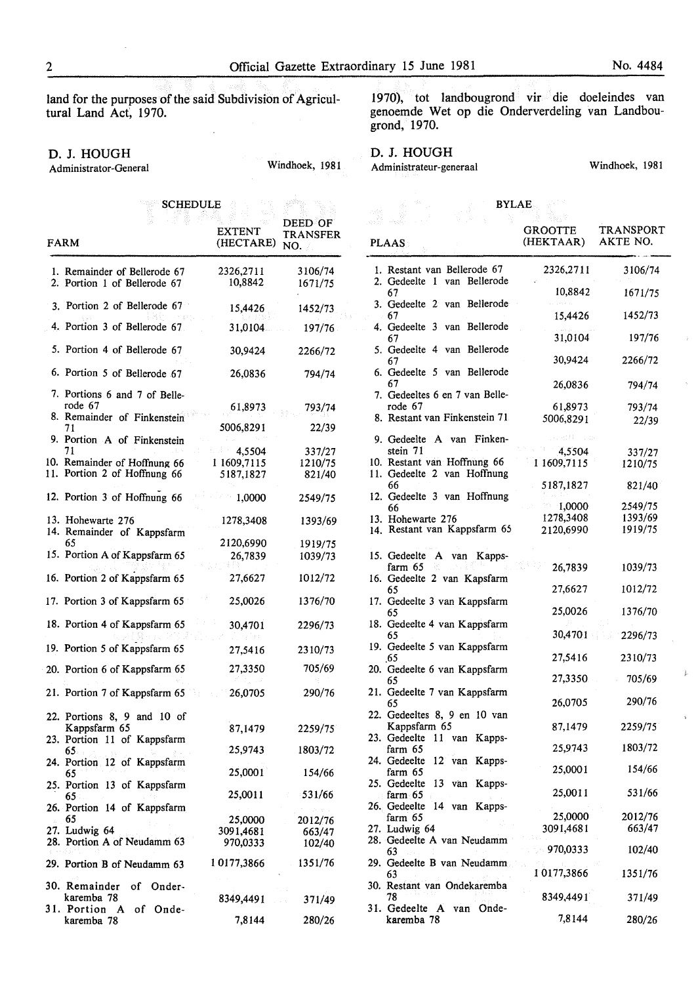land for the purposes of the said Subdivision of Agricultural Land Act, 1970.

 $\mathcal{L}$ 

#### D. J. HOUGH

Administrator-General Windhoek, 1981

1970), tot landbougrond vir die doeleindes van genoemde Wet op die Onderverdeling van Landbougrond, 1970.

## D. J. HOUGH

Administrateur-generaal Windhoek, 198I

|     | <b>SCHEDULE</b>                                                         |                            | DEED OF                                          |
|-----|-------------------------------------------------------------------------|----------------------------|--------------------------------------------------|
|     | FARM                                                                    | <b>EXTENT</b><br>(HECTARE) | TRANSFER<br>NO.                                  |
|     | 1. Remainder of Bellerode 67<br>2. Portion 1 of Bellerode 67            | 2326,2711<br>10,8842       | 3106/74<br>1671/75                               |
|     | 3. Portion 2 of Bellerode 67                                            | 15,4426                    | 1452/73                                          |
|     | 4. Portion 3 of Bellerode 67                                            | 31,0104                    | 197/76                                           |
|     | 5. Portion 4 of Bellerode 67                                            | 30,9424                    | 2266/72                                          |
|     | 6. Portion 5 of Bellerode 67                                            | 26,0836                    | 794/74                                           |
|     | 7. Portions 6 and 7 of Belle-<br>rode 67<br>8. Remainder of Finkenstein | 61,8973                    | 793/74                                           |
|     | 71<br>9. Portion A of Finkenstein                                       | 5006,8291                  | 22/39                                            |
|     | 71                                                                      | 4,5504                     | 337/27                                           |
|     | 10. Remainder of Hoffnung 66                                            | 1 1609,7115                | 1210/75                                          |
| 11. | Portion 2 of Hoffnung 66                                                | 5187,1827                  | 821/40                                           |
|     | 12. Portion 3 of Hoffnung 66                                            | 1,0000                     | 2549/75                                          |
|     | 13. Hohewarte 276<br>14. Remainder of Kappsfarm                         | 1278,3408                  | 1393/69                                          |
|     | 65                                                                      | 2120,6990                  | 1919/75                                          |
|     | 15. Portion A of Kappsfarm 65                                           | 26,7839                    | 1039/73                                          |
|     | 16. Portion 2 of Kappsfarm 65                                           | 27,6627                    | 1012/72                                          |
|     | 17. Portion 3 of Kappsfarm 65                                           | 25,0026                    | 1376/70                                          |
|     | 18. Portion 4 of Kappsfarm 65                                           | 30,4701                    | 2296/73                                          |
|     | 19. Portion 5 of Kappsfarm 65                                           | 27,5416                    | 2310/73                                          |
|     | 20. Portion 6 of Kappsfarm 65                                           | 27,3350                    | 705/69                                           |
|     | 21. Portion 7 of Kappsfarm 65                                           | 26,0705                    | 290/76                                           |
|     | 22. Portions 8, 9 and 10 of<br>Kappsfarm 65                             | 87,1479                    | 2259/75                                          |
|     | 23. Portion 11 of Kappsfarm<br>65.                                      | 25,9743                    | 1803/72                                          |
|     | 24. Portion 12 of Kappsfarm<br>65                                       | 25,0001                    | 154/66                                           |
|     | 25. Portion 13 of Kappsfarm<br>65.                                      | 25,0011                    | 531/66<br>£.                                     |
|     | 26. Portion 14 of Kappsfarm<br>65                                       | 25,0000                    | $\mathcal{P}=\mathcal{Q}=\mathcal{Q}$<br>2012/76 |
|     | 27. Ludwig 64                                                           | 3091,4681                  | 663/47                                           |
|     | 28. Portion A of Neudamm 63                                             | 970,0333                   | 102/40                                           |
|     | 29. Portion B of Neudamm 63                                             | 10177,3866                 | 1351/76                                          |
|     | 30. Remainder<br>of Onder-                                              |                            |                                                  |
|     | karemba 78<br>31. Portion A of Onde-                                    | 8349,4491                  | 371/49                                           |
|     | karemba 78                                                              | 7,8144                     | 280/26                                           |

|     |                           | <b>BYLAE</b>                                               |                             |                              |
|-----|---------------------------|------------------------------------------------------------|-----------------------------|------------------------------|
|     |                           |                                                            |                             |                              |
|     | <b>PLAAS</b>              |                                                            | <b>GROOTTE</b><br>(HEKTAAR) | <b>TRANSPORT</b><br>AKTE NO. |
|     | 2. Gedeelte 1             | 1. Restant van Bellerode 67<br>van Bellerode               | 2326,2711                   | 3106/74                      |
|     | 67                        | 3. Gedeelte 2 van Bellerode                                | 10,8842                     | 1671/75                      |
|     | 67                        |                                                            | 15,4426                     | 1452/73                      |
|     | 67                        | 4. Gedeelte 3 van Bellerode                                | 31,0104                     | 197/76                       |
|     | 67                        | 5. Gedeelte 4 van Bellerode                                | 30,9424                     | 2266/72                      |
|     | 67                        | 6. Gedeelte 5 van Bellerode                                | 26,0836                     | 794/74                       |
|     | rode 67                   | 7. Gedeeltes 6 en 7 van Belle-                             | 61,8973                     | 793/74                       |
|     |                           | 8. Restant van Finkenstein 71.                             | 5006,8291                   | 22/39                        |
|     | stein 71                  | 9. Gedeelte A van Finken-                                  | 4,5504                      | 337/27                       |
|     |                           | 10. Restant van Hoffnung 66<br>11. Gedeelte 2 van Hoffnung | 1 1609,7115                 | 1210/75                      |
|     | 66                        | 12. Gedeelte 3 van Hoffnung                                | 5187,1827                   | 821/40                       |
|     | 66                        |                                                            | 1,0000                      | 2549/75                      |
|     | 13. Hohewarte 276         |                                                            | 1278,3408                   | 1393/69                      |
|     |                           | 14. Restant van Kappsfarm 65                               | 2120,6990                   | 1919/75                      |
|     |                           |                                                            |                             |                              |
|     | 15. Gedeelte A<br>farm 65 | van Kapps-                                                 | 26,7839                     | 1039/73                      |
|     | 65                        | 16. Gedeelte 2 van Kapsfarm                                | 27,6627                     | 1012/72                      |
|     | 65                        | 17. Gedeelte 3 van Kappsfarm                               | 25,0026                     | 1376/70                      |
|     | 65                        | 18. Gedeelte 4 van Kappsfarm                               | 30,4701                     | 2296/73                      |
|     | .65                       | 19. Gedeelte 5 van Kappsfarm                               | 27,5416                     | 2310/73                      |
|     | 65                        | 20. Gedeelte 6 van Kappsfarm                               | 27,3350                     | 705/69                       |
|     | 65                        | 21. Gedeelte 7 van Kappsfarm                               | 26,0705                     | 290/76                       |
|     | Kappsfarm 65              | 22. Gedeeltes 8, 9 en 10 van                               | 87,1479                     | 2259/75                      |
| 23. | Gedeelte<br>11<br>farm 65 | Kapps-<br>van                                              | 25,9743                     | 1803/72                      |
|     | 24. Gedeelte<br>farm 65   | $12$ van<br>Kapps-                                         | 25,0001                     | 154/66                       |
|     | 25. Gedeelte<br>farm $65$ | $13$ van<br>Kapps-                                         | 25,0011                     | 531/66                       |
|     | 26. Gedeelte              | 14 van Kapps-                                              |                             |                              |
|     | farm 65                   |                                                            | 25,0000                     | 2012/76                      |
|     | 27. Ludwig 64             |                                                            | 3091,4681                   | 663/47                       |
|     | 63                        | 28. Gedeelte A van Neudamm                                 | 970,0333                    | 102/40                       |
|     | 63                        | 29. Gedeelte B van Neudamm                                 | 10177,3866                  | 1351/76                      |
|     | 78                        | 30. Restant van Ondekaremba                                | 8349,4491                   | 371/49                       |
|     | karemba 78                | 31. Gedeelte A van Onde-                                   | 7,8144                      | 280/26                       |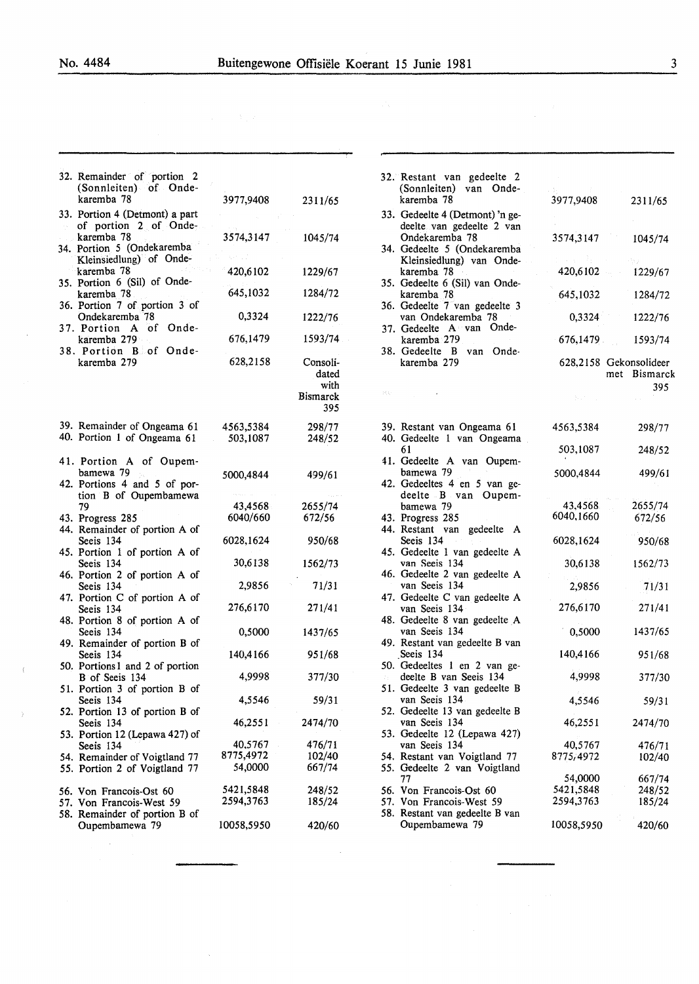$\cdot$  (

 $\sim$ 

| 32. Remainder of portion 2<br>(Sonnleiten) of Onde-<br>karemba 78  | 3977,9408  | 2311/65                                             |
|--------------------------------------------------------------------|------------|-----------------------------------------------------|
| 33. Portion 4 (Detmont) a part                                     |            |                                                     |
| of portion 2 of Onde-<br>karemba 78                                | 3574,3147  | 1045/74                                             |
| 34. Portion 5 (Ondekaremba<br>Kleinsiedlung) of Onde-              |            |                                                     |
| karemba 78                                                         | 420,6102   | 1229/67                                             |
| 35. Portion 6 (Sil) of Onde-<br>karemba 78                         | 645,1032   | 1284/72                                             |
| 36. Portion 7 of portion 3 of<br>Ondekaremba 78                    | 0,3324     | 1222/76                                             |
| 37. Portion A<br>of Onde-                                          |            |                                                     |
| karemba 279<br>38. Portion B of Onde-                              | 676,1479   | 1593/74                                             |
| karemba 279                                                        | 628,2158   | Consoli-<br>dated<br>with<br><b>Bismarck</b><br>395 |
| 39. Remainder of Ongeama 61                                        | 4563,5384  | 298/77                                              |
| 40. Portion 1 of Ongeama 61                                        | 503,1087   | 248/52                                              |
| 41. Portion A of Oupem-                                            |            |                                                     |
| bamewa 79<br>42. Portions 4 and 5 of por-<br>tion B of Oupembamewa | 5000,4844  | 499/61                                              |
| 79                                                                 | 43,4568    | 2655/74                                             |
| 43. Progress 285<br>44. Remainder of portion A of                  | 6040/660   | 672/56                                              |
| Seeis 134<br>45. Portion 1 of portion A of                         | 6028,1624  | 950/68                                              |
| Seeis 134                                                          | 30,6138    | 1562/73                                             |
| 46. Portion 2 of portion A of<br>Seeis 134                         | 2,9856     | 71/31                                               |
| 47. Portion C of portion A of<br>Seeis 134                         | 276,6170   | 271/41                                              |
| 48. Portion 8 of portion A of<br>Seeis 134                         | 0,5000     | 1437/65                                             |
| 49. Remainder of portion B of<br>Seeis 134                         | 140,4166   | 951/68                                              |
| 50. Portions1 and 2 of portion<br>B of Seeis 134                   | 4,9998     | 377/30                                              |
| 51. Portion 3 of portion B of<br>Seeis 134                         | 4,5546     | 59/31                                               |
| 52. Portion 13 of portion B of                                     |            |                                                     |
| Seeis 134<br>53. Portion 12 (Lepawa 427) of                        | 46,2551    | 2474/70                                             |
| Seeis 134                                                          | 40,5767    | 476/71                                              |
| 54. Remainder of Voigtland 77                                      | 8775,4972  | 102/40                                              |
| 55. Portion 2 of Voigtland 77                                      | 54,0000    | 667/74                                              |
| 56. Von Francois-Ost 60                                            | 5421,5848  | 248/52                                              |
| 57. Von Francois-West 59<br>58. Remainder of portion B of          | 2594,3763  | 185/24                                              |
| Oupembamewa 79                                                     | 10058,5950 | 420/60                                              |
|                                                                    |            |                                                     |

 $\ddot{\phantom{0}}$ 

|      | 32. Restant van gedeelte 2<br>(Sonnleiten) van Onde-<br>karemba 78              | 3977,9408            | 2311/65                                          |
|------|---------------------------------------------------------------------------------|----------------------|--------------------------------------------------|
|      | 33. Gedeelte 4 (Detmont) 'n ge-<br>deelte van gedeelte 2 van                    |                      |                                                  |
|      | Ondekaremba 78<br>34. Gedeelte 5 (Ondekaremba<br>Kleinsiedlung) van Onde-       | 3574,3147            | 1045/74                                          |
|      | karemba 78<br>35. Gedeelte 6 (Sil) van Onde-                                    | 420,6102             | 1229/67                                          |
|      | karemba 78<br>36. Gedeelte 7 van gedeelte 3                                     | 645,1032             | 1284/72                                          |
|      | van Ondekaremba 78<br>37. Gedeelte A van Onde-                                  | 0,3324               | 1222/76                                          |
|      | karemba 279<br>38. Gedeelte B van Onde-                                         | 676,1479             | 1593/74                                          |
|      | karemba 279                                                                     |                      | 628,2158 Gekonsolideer<br><b>Bismarck</b><br>met |
| 风后。  |                                                                                 |                      | 395                                              |
|      | 39. Restant van Ongeama 61<br>40. Gedeelte 1 van Ongeama                        | 4563,5384            | 298/77                                           |
|      | 61<br>41. Gedeelte A van Oupem-                                                 | 503,1087             | 248/52                                           |
|      | bamewa 79<br>42. Gedeeltes 4 en 5 van ge-                                       | 5000,4844            | 499/61                                           |
|      | deelte B van Oupem-<br>bamewa 79                                                | 43,4568              | 2655/74                                          |
|      | 43. Progress 285<br>44. Restant van gedeelte A                                  | 6040,1660            | 672/56                                           |
|      | Seeis 134<br>$\gamma$ .                                                         | 6028,1624            | 950/68                                           |
|      | 45. Gedeelte 1 van gedeelte A<br>van Seeis 134<br>46. Gedeelte 2 van gedeelte A | 30,6138              | 1562/73                                          |
|      | van Seeis 134                                                                   | 2,9856               | 71/31                                            |
|      | 47. Gedeelte C van gedeelte A<br>van Seeis 134                                  | 276,6170             | 271/41                                           |
|      | 48. Gedeelte 8 van gedeelte A<br>van Seeis 134                                  | 0,5000               | 1437/65                                          |
|      | 49. Restant van gedeelte B van<br>Seeis 134                                     | 140,4166             | 951/68                                           |
| 73.5 | 50. Gedeeltes 1 en 2 van ge-<br>deelte B van Seeis 134                          | 4,9998               | 377/30                                           |
|      | 51. Gedeelte 3 van gedeelte B<br>van Seeis 134                                  | 4,5546               | 59/31                                            |
| 52.  | Gedeelte 13 van gedeelte B<br>van Seeis 134                                     | 46,2551              | 2474/70                                          |
|      | 53. Gedeelte 12 (Lepawa 427)<br>van Seeis 134                                   | 40,5767              | 476/71                                           |
|      | 54. Restant van Voigtland 77<br>55. Gedeelte 2 van Voigtland                    | 8775,4972            | 102/40                                           |
|      | 77<br>56. Von Francois-Ost 60                                                   | 54,0000<br>5421,5848 | 667/74<br>248/52                                 |
|      | 57. Von Francois-West 59                                                        | 2594,3763            | 185/24                                           |
|      | 58. Restant van gedeelte B van<br>Oupembamewa 79                                | 10058,5950           | 420/60                                           |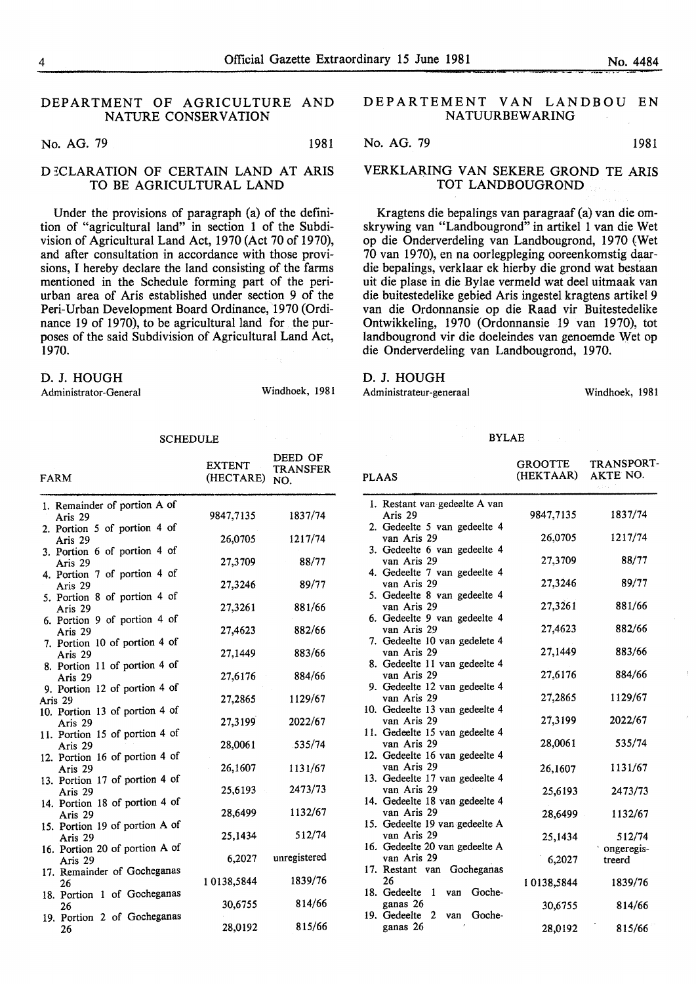#### DEPARTMENT OF AGRICULTURE AND NATURE CONSERVATION

No. AG. 79 1981

#### D ECLARATION OF CERTAIN LAND AT ARIS TO BE AGRICULTURAL LAND

Under the provisions of paragraph (a) of the definition of "agricultural land" in section 1 of the Subdivision of Agricultural Land Act, 1970 (Act 70 of 1970), and after consultation in accordance with those provisions, I hereby declare the land consisting of the farms mentioned in the Schedule forming part of the periurban area of Aris established under section 9 of the Peri-Urban Development Board Ordinance, 1970 (Ordinance 19 of 1970), to be agricultural land for the purposes of the said Subdivision of Agricultural Land Act, 1970.

#### D. J. HOUGH

Administrator-General Windhoek, 1981

#### SCHEDULE

| <b>FARM</b>                                                             | <b>EXTENT</b><br>(HECTARE) | DEED OF<br><b>TRANSFER</b><br>NO. |
|-------------------------------------------------------------------------|----------------------------|-----------------------------------|
| 1. Remainder of portion A of<br>Aris 29                                 | 9847,7135                  | 1837/74                           |
| 2. Portion 5 of portion 4 of<br>Aris 29                                 | 26,0705                    | 1217/74                           |
| 3. Portion 6 of portion 4 of<br>Aris 29<br>4. Portion 7 of portion 4 of | 27,3709                    | 88/77                             |
| Aris 29<br>5. Portion 8 of portion 4 of                                 | 27,3246                    | 89/77                             |
| Aris 29<br>6. Portion 9 of portion 4 of                                 | 27,3261                    | 881/66                            |
| Aris 29<br>7. Portion 10 of portion 4 of                                | 27,4623                    | 882/66                            |
| Aris 29<br>8. Portion 11 of portion 4 of                                | 27,1449                    | 883/66                            |
| Aris 29<br>9. Portion 12 of portion 4 of                                | 27,6176                    | 884/66                            |
| Aris 29<br>10. Portion 13 of portion 4 of                               | 27,2865                    | 1129/67                           |
| Aris 29<br>11. Portion 15 of portion 4 of<br>Aris 29                    | 27,3199<br>28,0061         | 2022/67<br>.535/74                |
| 12. Portion 16 of portion 4 of<br>Aris 29                               | 26,1607                    | 1131/67                           |
| 13. Portion 17 of portion 4 of<br>Aris 29                               | 25,6193                    | 2473/73                           |
| 14. Portion 18 of portion 4 of<br>Aris 29                               | 28,6499                    | 1132/67                           |
| 15. Portion 19 of portion A of<br>Aris 29                               | 25,1434                    | 512/74                            |
| 16. Portion 20 of portion A of<br>Aris 29                               | 6,2027                     | unregistered                      |
| 17. Remainder of Gocheganas<br>26                                       | 10138,5844                 | 1839/76                           |
| 18. Portion 1 of Gocheganas<br>26<br>19. Portion 2 of Gocheganas        | 30,6755                    | 814/66                            |
| 26                                                                      | 28,0192                    | 815/66                            |

#### DEPARTEMENT VAN LANDBOU EN NATUURBEWARING

No. AG. 79 1981

#### VERKLARING VAN SEKERE GROND TE ARIS TOT LANDBOUGROND

Kragtens die bepalings van paragraaf (a) van die omskrywing van "Landbougrond" in artikel 1 van die Wet op die Onderverdeling van Landbougrond, 1970 (Wet 70 van 1970), en na oorlegpleging ooreenkomstig daardie bepalings, verklaar ek hierby die grond wat bestaan uit die plase in die Bylae vermeld wat deel uitmaak van die buitestedelike gebied Aris ingestel kragtens artikel 9 van die Ordonnansie op die Raad vir Buitestedelike Ontwikkeling, 1970 (Ordonnansie 19 van 1970), tot landbougrond vir die doeleindes van genoemde Wet op die Onderverdeling van Landbougrond, 1970.

#### D. J. HOUGH

Administrateur-generaal Windhoek, 1981

#### BYLAE

| <b>PLAAS</b> |                                                                              | <b>GROOTTE</b><br>(HEKTAAR) | TRANSPORT-<br><b>AKTE NO.</b><br>al Fa |
|--------------|------------------------------------------------------------------------------|-----------------------------|----------------------------------------|
|              | 1. Restant van gedeelte A van<br>Aris 29                                     | 9847,7135                   | 1837/74                                |
|              | 2. Gedeelte 5 van gedeelte 4<br>van Aris 29                                  | 26,0705                     | 1217/74                                |
|              | 3. Gedeelte 6 van gedeelte 4<br>van Aris 29                                  | 27,3709                     | 88/77                                  |
|              | 4. Gedeelte 7 van gedeelte 4<br>van Aris 29                                  | 27,3246                     | 89/77                                  |
|              | 5. Gedeelte 8 van gedeelte 4<br>van Aris 29                                  | 27,3261                     | 881/66                                 |
|              | 6. Gedeelte 9 van gedeelte 4<br>van Aris 29<br>7. Gedeelte 10 van gedelete 4 | 27,4623                     | 882/66                                 |
|              | van Aris 29<br>8. Gedeelte 11 van gedeelte 4                                 | 27,1449                     | 883/66                                 |
|              | van Aris 29<br>9. Gedeelte 12 van gedeelte 4                                 | 27,6176                     | 884/66                                 |
|              | van Aris 29<br>10. Gedeelte 13 van gedeelte 4                                | 27,2865                     | 1129/67                                |
|              | van Aris 29<br>11. Gedeelte 15 van gedeelte 4                                | 27,3199                     | 2022/67                                |
|              | van Aris 29<br>12. Gedeelte 16 van gedeelte 4                                | 28,0061                     | 535/74                                 |
|              | van Aris 29<br>13. Gedeelte 17 van gedeelte 4                                | 26,1607                     | 1131/67                                |
|              | van Aris 29<br>14. Gedeelte 18 van gedeelte 4                                | 25,6193                     | 2473/73                                |
|              | van Aris 29<br>15. Gedeelte 19 van gedeelte A                                | 28,6499                     | 1132/67                                |
|              | van Aris 29<br>16. Gedeelte 20 van gedeelte A<br>van Aris 29                 | 25,1434                     | 512/74<br>ongeregis-                   |
|              | 17. Restant van Gocheganas<br>26                                             | 6,2027                      | treerd<br>1839/76                      |
|              | 18. Gedeelte<br>$\overline{1}$<br>Goche-<br>van<br>ganas 26                  | 10138,5844<br>30,6755       | 814/66                                 |
|              | 19. Gedeelte<br>Goche-<br>2<br>van<br>ganas 26                               | 28,0192                     | 815/66                                 |
|              |                                                                              |                             |                                        |